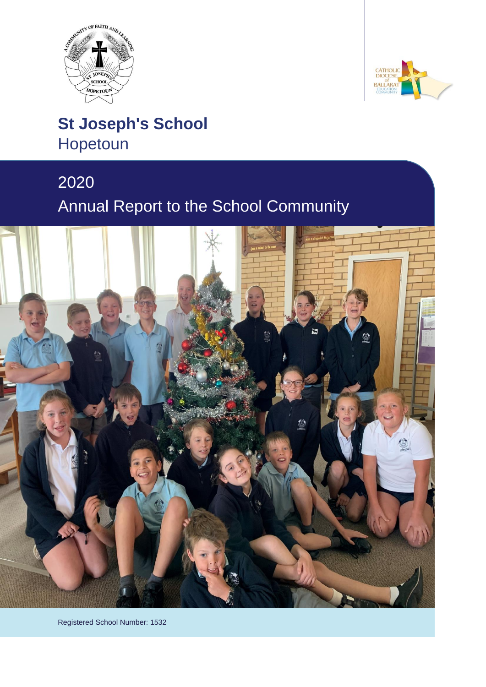



# **St Joseph's School** Hopetoun

# 2020 Annual Report to the School Community



Registered School Number: 1532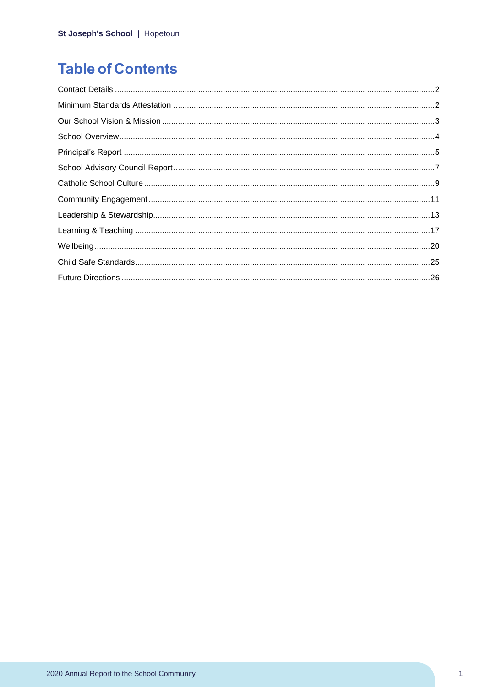# **Table of Contents**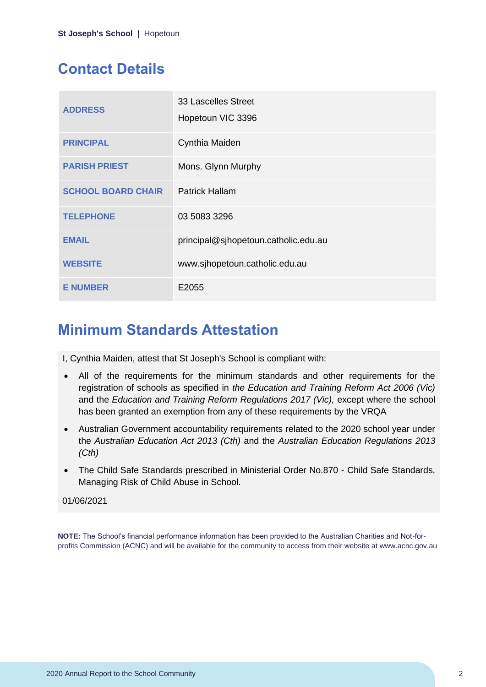# <span id="page-2-0"></span>**Contact Details**

| <b>ADDRESS</b>            | 33 Lascelles Street<br>Hopetoun VIC 3396 |
|---------------------------|------------------------------------------|
| <b>PRINCIPAL</b>          | Cynthia Maiden                           |
| <b>PARISH PRIEST</b>      | Mons. Glynn Murphy                       |
| <b>SCHOOL BOARD CHAIR</b> | <b>Patrick Hallam</b>                    |
| <b>TELEPHONE</b>          | 03 5083 3296                             |
| <b>EMAIL</b>              | principal@sjhopetoun.catholic.edu.au     |
| <b>WEBSITE</b>            | www.sjhopetoun.catholic.edu.au           |
| <b>E NUMBER</b>           | E2055                                    |

# <span id="page-2-1"></span>**Minimum Standards Attestation**

I, Cynthia Maiden, attest that St Joseph's School is compliant with:

- All of the requirements for the minimum standards and other requirements for the registration of schools as specified in *the Education and Training Reform Act 2006 (Vic)* and the *Education and Training Reform Regulations 2017 (Vic),* except where the school has been granted an exemption from any of these requirements by the VRQA
- Australian Government accountability requirements related to the 2020 school year under the *Australian Education Act 2013 (Cth)* and the *Australian Education Regulations 2013 (Cth)*
- The Child Safe Standards prescribed in Ministerial Order No.870 Child Safe Standards, Managing Risk of Child Abuse in School.

#### 01/06/2021

**NOTE:** The School's financial performance information has been provided to the Australian Charities and Not-forprofits Commission (ACNC) and will be available for the community to access from their website at www.acnc.gov.au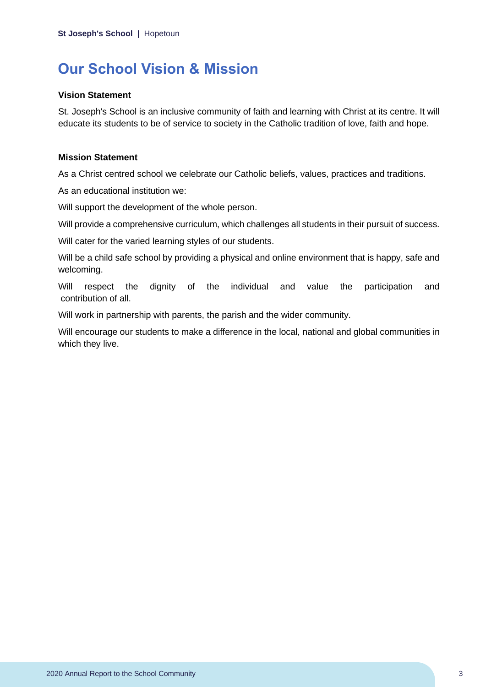# <span id="page-3-0"></span>**Our School Vision & Mission**

#### **Vision Statement**

St. Joseph's School is an inclusive community of faith and learning with Christ at its centre. It will educate its students to be of service to society in the Catholic tradition of love, faith and hope.

#### **Mission Statement**

As a Christ centred school we celebrate our Catholic beliefs, values, practices and traditions.

As an educational institution we:

Will support the development of the whole person.

Will provide a comprehensive curriculum, which challenges all students in their pursuit of success.

Will cater for the varied learning styles of our students.

Will be a child safe school by providing a physical and online environment that is happy, safe and welcoming.

Will respect the dignity of the individual and value the participation and contribution of all.

Will work in partnership with parents, the parish and the wider community.

Will encourage our students to make a difference in the local, national and global communities in which they live.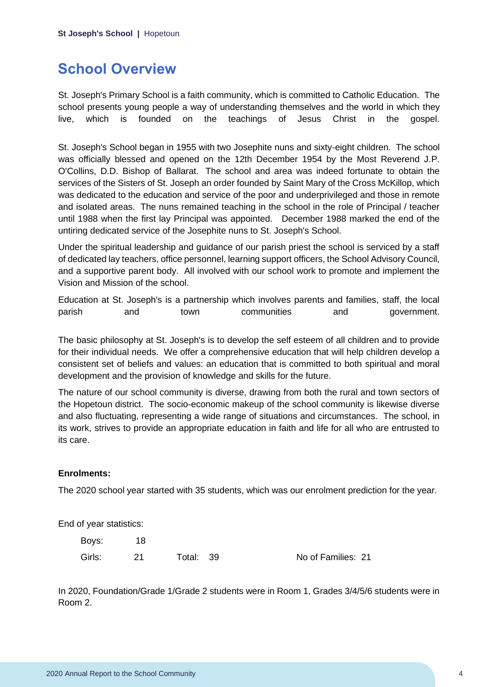# <span id="page-4-0"></span>**School Overview**

St. Joseph's Primary School is a faith community, which is committed to Catholic Education. The school presents young people a way of understanding themselves and the world in which they live, which is founded on the teachings of Jesus Christ in the gospel.

St. Joseph's School began in 1955 with two Josephite nuns and sixty-eight children. The school was officially blessed and opened on the 12th December 1954 by the Most Reverend J.P. O'Collins, D.D. Bishop of Ballarat. The school and area was indeed fortunate to obtain the services of the Sisters of St. Joseph an order founded by Saint Mary of the Cross McKillop, which was dedicated to the education and service of the poor and underprivileged and those in remote and isolated areas. The nuns remained teaching in the school in the role of Principal / teacher until 1988 when the first lay Principal was appointed. December 1988 marked the end of the untiring dedicated service of the Josephite nuns to St. Joseph's School.

Under the spiritual leadership and guidance of our parish priest the school is serviced by a staff of dedicated lay teachers, office personnel, learning support officers, the School Advisory Council, and a supportive parent body. All involved with our school work to promote and implement the Vision and Mission of the school.

Education at St. Joseph's is a partnership which involves parents and families, staff, the local parish and town communities and government.

The basic philosophy at St. Joseph's is to develop the self esteem of all children and to provide for their individual needs. We offer a comprehensive education that will help children develop a consistent set of beliefs and values: an education that is committed to both spiritual and moral development and the provision of knowledge and skills for the future.

The nature of our school community is diverse, drawing from both the rural and town sectors of the Hopetoun district. The socio-economic makeup of the school community is likewise diverse and also fluctuating, representing a wide range of situations and circumstances. The school, in its work, strives to provide an appropriate education in faith and life for all who are entrusted to its care.

### **Enrolments:**

The 2020 school year started with 35 students, which was our enrolment prediction for the year.

End of year statistics:

Boys: 18 Girls: 21 Total: 39 No of Families: 21

In 2020, Foundation/Grade 1/Grade 2 students were in Room 1, Grades 3/4/5/6 students were in Room 2.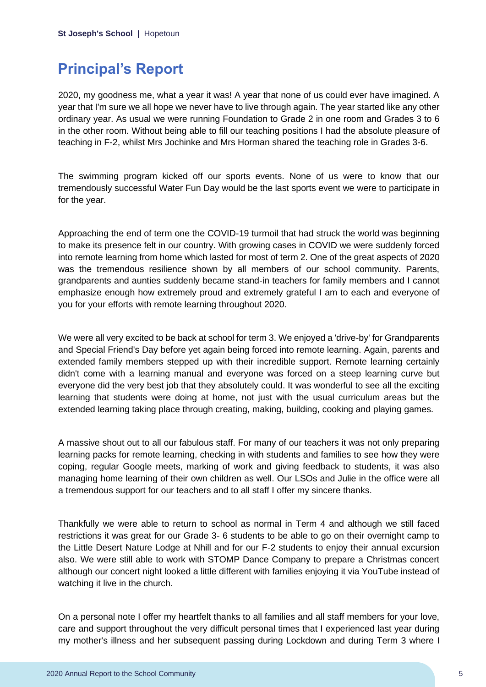## <span id="page-5-0"></span>**Principal's Report**

2020, my goodness me, what a year it was! A year that none of us could ever have imagined. A year that I'm sure we all hope we never have to live through again. The year started like any other ordinary year. As usual we were running Foundation to Grade 2 in one room and Grades 3 to 6 in the other room. Without being able to fill our teaching positions I had the absolute pleasure of teaching in F-2, whilst Mrs Jochinke and Mrs Horman shared the teaching role in Grades 3-6.

The swimming program kicked off our sports events. None of us were to know that our tremendously successful Water Fun Day would be the last sports event we were to participate in for the year.

Approaching the end of term one the COVID-19 turmoil that had struck the world was beginning to make its presence felt in our country. With growing cases in COVID we were suddenly forced into remote learning from home which lasted for most of term 2. One of the great aspects of 2020 was the tremendous resilience shown by all members of our school community. Parents, grandparents and aunties suddenly became stand-in teachers for family members and I cannot emphasize enough how extremely proud and extremely grateful I am to each and everyone of you for your efforts with remote learning throughout 2020.

We were all very excited to be back at school for term 3. We enjoyed a 'drive-by' for Grandparents and Special Friend's Day before yet again being forced into remote learning. Again, parents and extended family members stepped up with their incredible support. Remote learning certainly didn't come with a learning manual and everyone was forced on a steep learning curve but everyone did the very best job that they absolutely could. It was wonderful to see all the exciting learning that students were doing at home, not just with the usual curriculum areas but the extended learning taking place through creating, making, building, cooking and playing games.

A massive shout out to all our fabulous staff. For many of our teachers it was not only preparing learning packs for remote learning, checking in with students and families to see how they were coping, regular Google meets, marking of work and giving feedback to students, it was also managing home learning of their own children as well. Our LSOs and Julie in the office were all a tremendous support for our teachers and to all staff I offer my sincere thanks.

Thankfully we were able to return to school as normal in Term 4 and although we still faced restrictions it was great for our Grade 3- 6 students to be able to go on their overnight camp to the Little Desert Nature Lodge at Nhill and for our F-2 students to enjoy their annual excursion also. We were still able to work with STOMP Dance Company to prepare a Christmas concert although our concert night looked a little different with families enjoying it via YouTube instead of watching it live in the church.

On a personal note I offer my heartfelt thanks to all families and all staff members for your love, care and support throughout the very difficult personal times that I experienced last year during my mother's illness and her subsequent passing during Lockdown and during Term 3 where I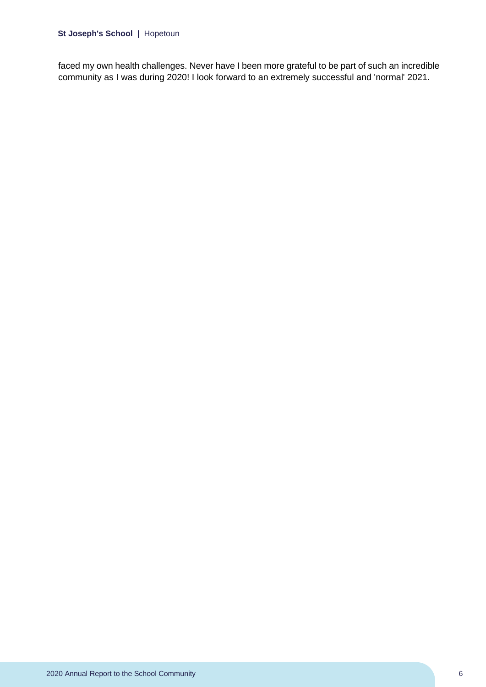#### **St Joseph's School |** Hopetoun

faced my own health challenges. Never have I been more grateful to be part of such an incredible community as I was during 2020! I look forward to an extremely successful and 'normal' 2021.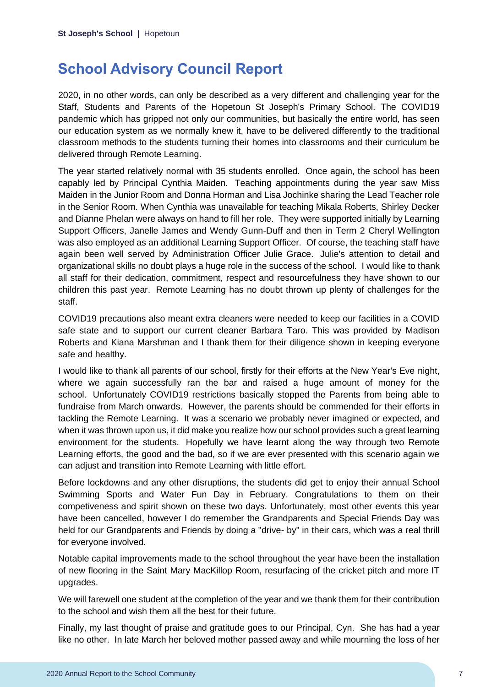# <span id="page-7-0"></span>**School Advisory Council Report**

2020, in no other words, can only be described as a very different and challenging year for the Staff, Students and Parents of the Hopetoun St Joseph's Primary School. The COVID19 pandemic which has gripped not only our communities, but basically the entire world, has seen our education system as we normally knew it, have to be delivered differently to the traditional classroom methods to the students turning their homes into classrooms and their curriculum be delivered through Remote Learning.

The year started relatively normal with 35 students enrolled. Once again, the school has been capably led by Principal Cynthia Maiden. Teaching appointments during the year saw Miss Maiden in the Junior Room and Donna Horman and Lisa Jochinke sharing the Lead Teacher role in the Senior Room. When Cynthia was unavailable for teaching Mikala Roberts, Shirley Decker and Dianne Phelan were always on hand to fill her role. They were supported initially by Learning Support Officers, Janelle James and Wendy Gunn-Duff and then in Term 2 Cheryl Wellington was also employed as an additional Learning Support Officer. Of course, the teaching staff have again been well served by Administration Officer Julie Grace. Julie's attention to detail and organizational skills no doubt plays a huge role in the success of the school. I would like to thank all staff for their dedication, commitment, respect and resourcefulness they have shown to our children this past year. Remote Learning has no doubt thrown up plenty of challenges for the staff.

COVID19 precautions also meant extra cleaners were needed to keep our facilities in a COVID safe state and to support our current cleaner Barbara Taro. This was provided by Madison Roberts and Kiana Marshman and I thank them for their diligence shown in keeping everyone safe and healthy.

I would like to thank all parents of our school, firstly for their efforts at the New Year's Eve night, where we again successfully ran the bar and raised a huge amount of money for the school. Unfortunately COVID19 restrictions basically stopped the Parents from being able to fundraise from March onwards. However, the parents should be commended for their efforts in tackling the Remote Learning. It was a scenario we probably never imagined or expected, and when it was thrown upon us, it did make you realize how our school provides such a great learning environment for the students. Hopefully we have learnt along the way through two Remote Learning efforts, the good and the bad, so if we are ever presented with this scenario again we can adjust and transition into Remote Learning with little effort.

Before lockdowns and any other disruptions, the students did get to enjoy their annual School Swimming Sports and Water Fun Day in February. Congratulations to them on their competiveness and spirit shown on these two days. Unfortunately, most other events this year have been cancelled, however I do remember the Grandparents and Special Friends Day was held for our Grandparents and Friends by doing a "drive- by" in their cars, which was a real thrill for everyone involved.

Notable capital improvements made to the school throughout the year have been the installation of new flooring in the Saint Mary MacKillop Room, resurfacing of the cricket pitch and more IT upgrades.

We will farewell one student at the completion of the year and we thank them for their contribution to the school and wish them all the best for their future.

Finally, my last thought of praise and gratitude goes to our Principal, Cyn. She has had a year like no other. In late March her beloved mother passed away and while mourning the loss of her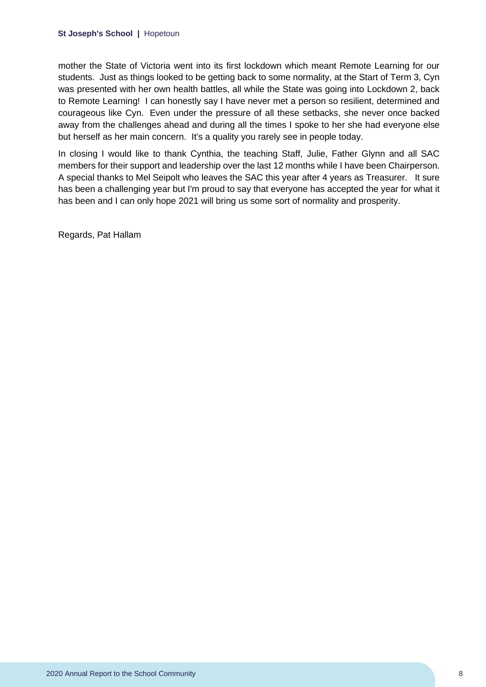#### **St Joseph's School |** Hopetoun

mother the State of Victoria went into its first lockdown which meant Remote Learning for our students. Just as things looked to be getting back to some normality, at the Start of Term 3, Cyn was presented with her own health battles, all while the State was going into Lockdown 2, back to Remote Learning! I can honestly say I have never met a person so resilient, determined and courageous like Cyn. Even under the pressure of all these setbacks, she never once backed away from the challenges ahead and during all the times I spoke to her she had everyone else but herself as her main concern. It's a quality you rarely see in people today.

In closing I would like to thank Cynthia, the teaching Staff, Julie, Father Glynn and all SAC members for their support and leadership over the last 12 months while I have been Chairperson. A special thanks to Mel Seipolt who leaves the SAC this year after 4 years as Treasurer. It sure has been a challenging year but I'm proud to say that everyone has accepted the year for what it has been and I can only hope 2021 will bring us some sort of normality and prosperity.

Regards, Pat Hallam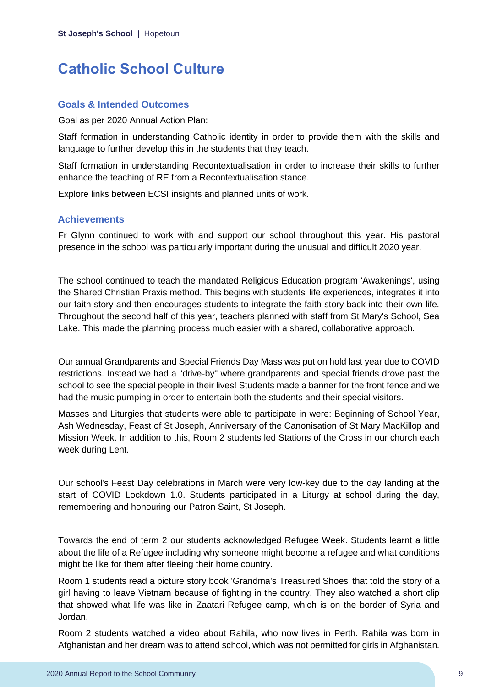# <span id="page-9-0"></span>**Catholic School Culture**

### **Goals & Intended Outcomes**

Goal as per 2020 Annual Action Plan:

Staff formation in understanding Catholic identity in order to provide them with the skills and language to further develop this in the students that they teach.

Staff formation in understanding Recontextualisation in order to increase their skills to further enhance the teaching of RE from a Recontextualisation stance.

Explore links between ECSI insights and planned units of work.

### **Achievements**

Fr Glynn continued to work with and support our school throughout this year. His pastoral presence in the school was particularly important during the unusual and difficult 2020 year.

The school continued to teach the mandated Religious Education program 'Awakenings', using the Shared Christian Praxis method. This begins with students' life experiences, integrates it into our faith story and then encourages students to integrate the faith story back into their own life. Throughout the second half of this year, teachers planned with staff from St Mary's School, Sea Lake. This made the planning process much easier with a shared, collaborative approach.

Our annual Grandparents and Special Friends Day Mass was put on hold last year due to COVID restrictions. Instead we had a "drive-by" where grandparents and special friends drove past the school to see the special people in their lives! Students made a banner for the front fence and we had the music pumping in order to entertain both the students and their special visitors.

Masses and Liturgies that students were able to participate in were: Beginning of School Year, Ash Wednesday, Feast of St Joseph, Anniversary of the Canonisation of St Mary MacKillop and Mission Week. In addition to this, Room 2 students led Stations of the Cross in our church each week during Lent.

Our school's Feast Day celebrations in March were very low-key due to the day landing at the start of COVID Lockdown 1.0. Students participated in a Liturgy at school during the day, remembering and honouring our Patron Saint, St Joseph.

Towards the end of term 2 our students acknowledged Refugee Week. Students learnt a little about the life of a Refugee including why someone might become a refugee and what conditions might be like for them after fleeing their home country.

Room 1 students read a picture story book 'Grandma's Treasured Shoes' that told the story of a girl having to leave Vietnam because of fighting in the country. They also watched a short clip that showed what life was like in Zaatari Refugee camp, which is on the border of Syria and Jordan.

Room 2 students watched a video about Rahila, who now lives in Perth. Rahila was born in Afghanistan and her dream was to attend school, which was not permitted for girls in Afghanistan.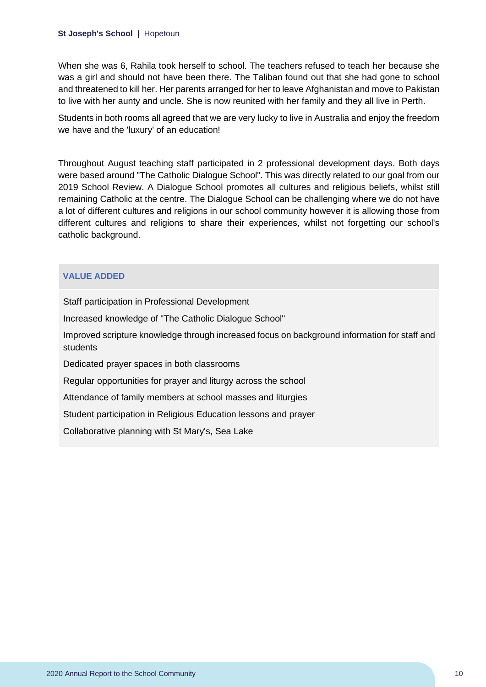#### **St Joseph's School |** Hopetoun

When she was 6, Rahila took herself to school. The teachers refused to teach her because she was a girl and should not have been there. The Taliban found out that she had gone to school and threatened to kill her. Her parents arranged for her to leave Afghanistan and move to Pakistan to live with her aunty and uncle. She is now reunited with her family and they all live in Perth.

Students in both rooms all agreed that we are very lucky to live in Australia and enjoy the freedom we have and the 'luxury' of an education!

Throughout August teaching staff participated in 2 professional development days. Both days were based around "The Catholic Dialogue School". This was directly related to our goal from our 2019 School Review. A Dialogue School promotes all cultures and religious beliefs, whilst still remaining Catholic at the centre. The Dialogue School can be challenging where we do not have a lot of different cultures and religions in our school community however it is allowing those from different cultures and religions to share their experiences, whilst not forgetting our school's catholic background.

#### **VALUE ADDED**

Staff participation in Professional Development

Increased knowledge of "The Catholic Dialogue School"

Improved scripture knowledge through increased focus on background information for staff and students

Dedicated prayer spaces in both classrooms

Regular opportunities for prayer and liturgy across the school

Attendance of family members at school masses and liturgies

Student participation in Religious Education lessons and prayer

Collaborative planning with St Mary's, Sea Lake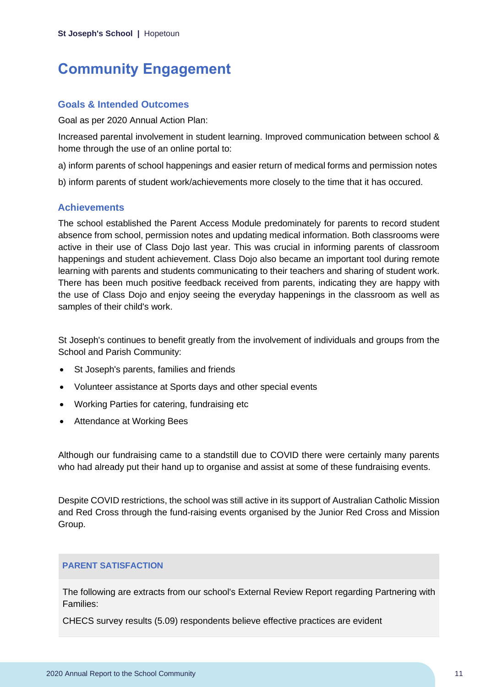# <span id="page-11-0"></span>**Community Engagement**

### **Goals & Intended Outcomes**

Goal as per 2020 Annual Action Plan:

Increased parental involvement in student learning. Improved communication between school & home through the use of an online portal to:

a) inform parents of school happenings and easier return of medical forms and permission notes

b) inform parents of student work/achievements more closely to the time that it has occured.

### **Achievements**

The school established the Parent Access Module predominately for parents to record student absence from school, permission notes and updating medical information. Both classrooms were active in their use of Class Dojo last year. This was crucial in informing parents of classroom happenings and student achievement. Class Dojo also became an important tool during remote learning with parents and students communicating to their teachers and sharing of student work. There has been much positive feedback received from parents, indicating they are happy with the use of Class Dojo and enjoy seeing the everyday happenings in the classroom as well as samples of their child's work.

St Joseph's continues to benefit greatly from the involvement of individuals and groups from the School and Parish Community:

- St Joseph's parents, families and friends
- Volunteer assistance at Sports days and other special events
- Working Parties for catering, fundraising etc
- Attendance at Working Bees

Although our fundraising came to a standstill due to COVID there were certainly many parents who had already put their hand up to organise and assist at some of these fundraising events.

Despite COVID restrictions, the school was still active in its support of Australian Catholic Mission and Red Cross through the fund-raising events organised by the Junior Red Cross and Mission Group.

### **PARENT SATISFACTION**

The following are extracts from our school's External Review Report regarding Partnering with Families:

CHECS survey results (5.09) respondents believe effective practices are evident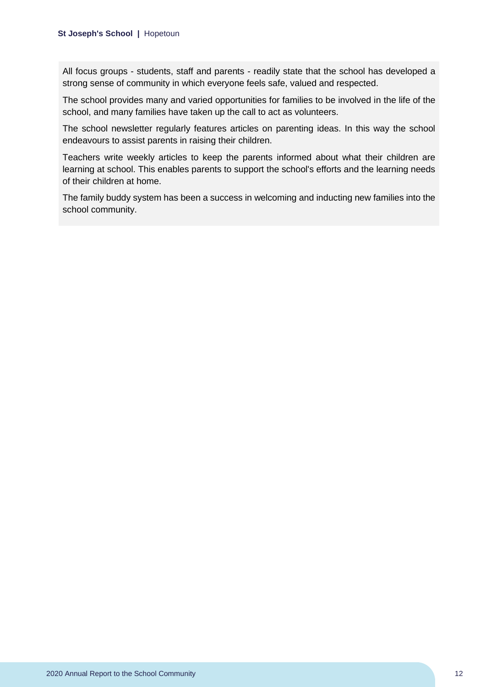All focus groups - students, staff and parents - readily state that the school has developed a strong sense of community in which everyone feels safe, valued and respected.

The school provides many and varied opportunities for families to be involved in the life of the school, and many families have taken up the call to act as volunteers.

The school newsletter regularly features articles on parenting ideas. In this way the school endeavours to assist parents in raising their children.

Teachers write weekly articles to keep the parents informed about what their children are learning at school. This enables parents to support the school's efforts and the learning needs of their children at home.

The family buddy system has been a success in welcoming and inducting new families into the school community.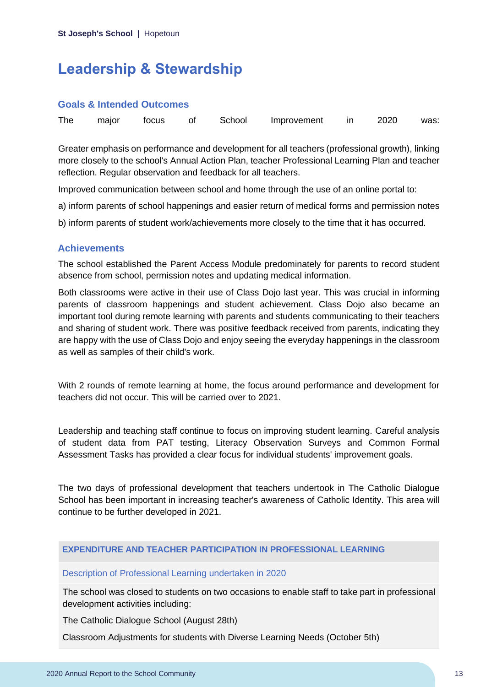# <span id="page-13-0"></span>**Leadership & Stewardship**

#### **Goals & Intended Outcomes**

|  |  |  |  |  | The major focus of School Improvement in 2020 was: |  |  |  |
|--|--|--|--|--|----------------------------------------------------|--|--|--|
|--|--|--|--|--|----------------------------------------------------|--|--|--|

Greater emphasis on performance and development for all teachers (professional growth), linking more closely to the school's Annual Action Plan, teacher Professional Learning Plan and teacher reflection. Regular observation and feedback for all teachers.

Improved communication between school and home through the use of an online portal to:

a) inform parents of school happenings and easier return of medical forms and permission notes

b) inform parents of student work/achievements more closely to the time that it has occurred.

### **Achievements**

The school established the Parent Access Module predominately for parents to record student absence from school, permission notes and updating medical information.

Both classrooms were active in their use of Class Dojo last year. This was crucial in informing parents of classroom happenings and student achievement. Class Dojo also became an important tool during remote learning with parents and students communicating to their teachers and sharing of student work. There was positive feedback received from parents, indicating they are happy with the use of Class Dojo and enjoy seeing the everyday happenings in the classroom as well as samples of their child's work.

With 2 rounds of remote learning at home, the focus around performance and development for teachers did not occur. This will be carried over to 2021.

Leadership and teaching staff continue to focus on improving student learning. Careful analysis of student data from PAT testing, Literacy Observation Surveys and Common Formal Assessment Tasks has provided a clear focus for individual students' improvement goals.

The two days of professional development that teachers undertook in The Catholic Dialogue School has been important in increasing teacher's awareness of Catholic Identity. This area will continue to be further developed in 2021.

#### **EXPENDITURE AND TEACHER PARTICIPATION IN PROFESSIONAL LEARNING**

#### Description of Professional Learning undertaken in 2020

The school was closed to students on two occasions to enable staff to take part in professional development activities including:

The Catholic Dialogue School (August 28th)

Classroom Adjustments for students with Diverse Learning Needs (October 5th)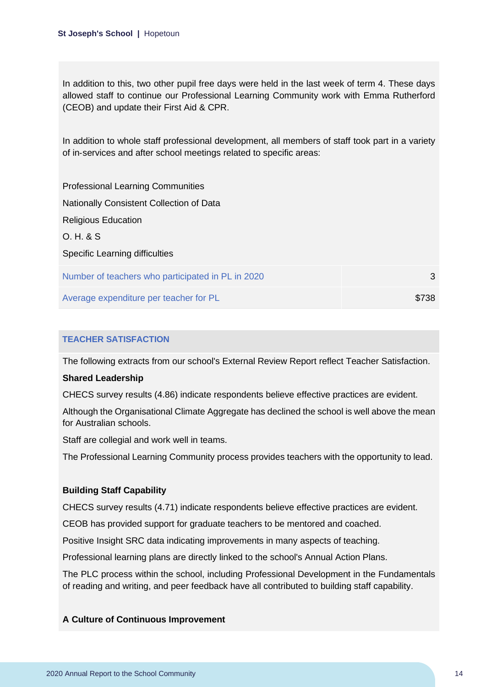In addition to this, two other pupil free days were held in the last week of term 4. These days allowed staff to continue our Professional Learning Community work with Emma Rutherford (CEOB) and update their First Aid & CPR.

In addition to whole staff professional development, all members of staff took part in a variety of in‑services and after school meetings related to specific areas:

| <b>Professional Learning Communities</b>          |       |
|---------------------------------------------------|-------|
| Nationally Consistent Collection of Data          |       |
| <b>Religious Education</b>                        |       |
| O. H. & S.                                        |       |
| Specific Learning difficulties                    |       |
| Number of teachers who participated in PL in 2020 | 3     |
| Average expenditure per teacher for PL            | \$738 |

### **TEACHER SATISFACTION**

The following extracts from our school's External Review Report reflect Teacher Satisfaction.

#### **Shared Leadership**

CHECS survey results (4.86) indicate respondents believe effective practices are evident.

Although the Organisational Climate Aggregate has declined the school is well above the mean for Australian schools.

Staff are collegial and work well in teams.

The Professional Learning Community process provides teachers with the opportunity to lead.

#### **Building Staff Capability**

CHECS survey results (4.71) indicate respondents believe effective practices are evident.

CEOB has provided support for graduate teachers to be mentored and coached.

Positive Insight SRC data indicating improvements in many aspects of teaching.

Professional learning plans are directly linked to the school's Annual Action Plans.

The PLC process within the school, including Professional Development in the Fundamentals of reading and writing, and peer feedback have all contributed to building staff capability.

#### **A Culture of Continuous Improvement**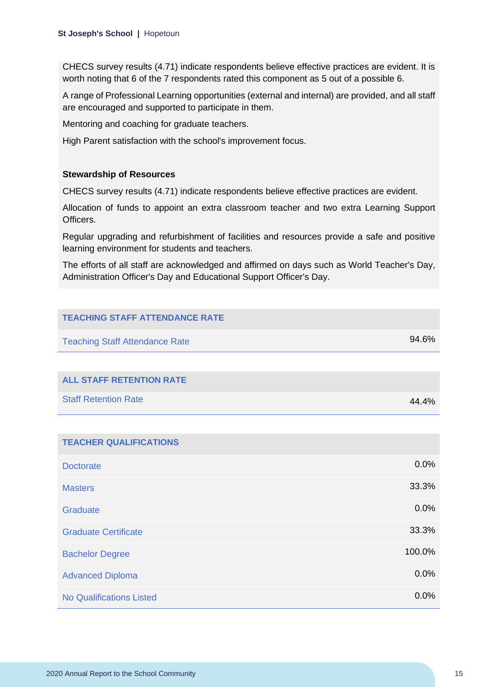CHECS survey results (4.71) indicate respondents believe effective practices are evident. It is worth noting that 6 of the 7 respondents rated this component as 5 out of a possible 6.

A range of Professional Learning opportunities (external and internal) are provided, and all staff are encouraged and supported to participate in them.

Mentoring and coaching for graduate teachers.

High Parent satisfaction with the school's improvement focus.

#### **Stewardship of Resources**

CHECS survey results (4.71) indicate respondents believe effective practices are evident.

Allocation of funds to appoint an extra classroom teacher and two extra Learning Support Officers.

Regular upgrading and refurbishment of facilities and resources provide a safe and positive learning environment for students and teachers.

The efforts of all staff are acknowledged and affirmed on days such as World Teacher's Day, Administration Officer's Day and Educational Support Officer's Day.

| <b>TEACHING STAFF ATTENDANCE RATE</b> |        |
|---------------------------------------|--------|
| <b>Teaching Staff Attendance Rate</b> | 94.6%  |
|                                       |        |
| <b>ALL STAFF RETENTION RATE</b>       |        |
| <b>Staff Retention Rate</b>           | 44.4%  |
|                                       |        |
| <b>TEACHER QUALIFICATIONS</b>         |        |
| <b>Doctorate</b>                      | 0.0%   |
| <b>Masters</b>                        | 33.3%  |
| Graduate                              | 0.0%   |
| <b>Graduate Certificate</b>           | 33.3%  |
| <b>Bachelor Degree</b>                | 100.0% |
| <b>Advanced Diploma</b>               | 0.0%   |
| <b>No Qualifications Listed</b>       | 0.0%   |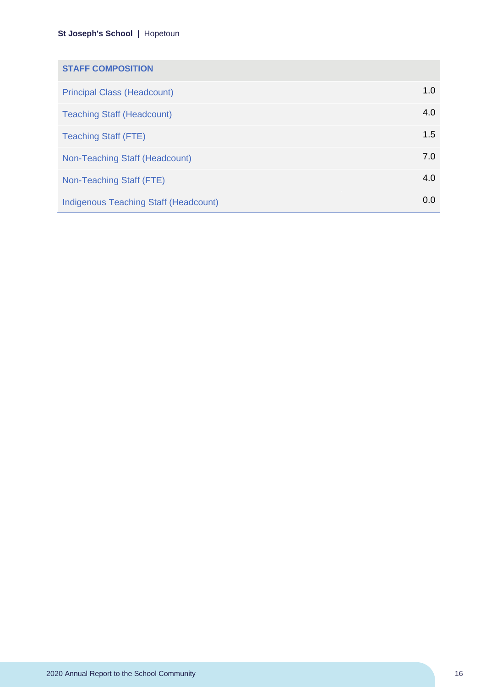### **St Joseph's School |** Hopetoun

| <b>STAFF COMPOSITION</b>                     |     |
|----------------------------------------------|-----|
| <b>Principal Class (Headcount)</b>           | 1.0 |
| <b>Teaching Staff (Headcount)</b>            | 4.0 |
| <b>Teaching Staff (FTE)</b>                  | 1.5 |
| Non-Teaching Staff (Headcount)               | 7.0 |
| Non-Teaching Staff (FTE)                     | 4.0 |
| <b>Indigenous Teaching Staff (Headcount)</b> | 0.0 |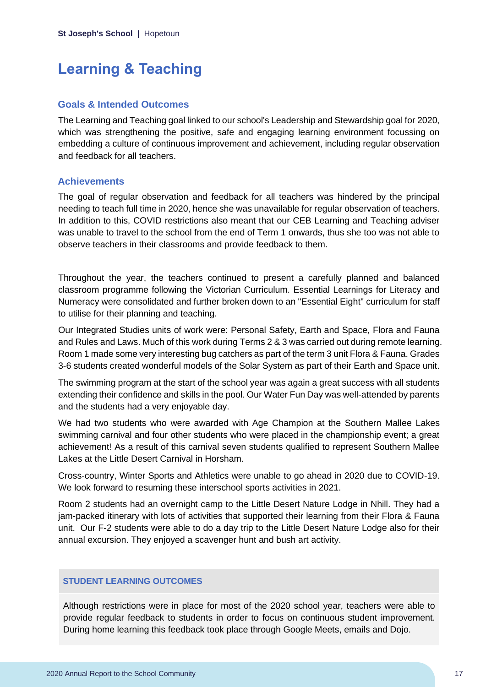# <span id="page-17-0"></span>**Learning & Teaching**

#### **Goals & Intended Outcomes**

The Learning and Teaching goal linked to our school's Leadership and Stewardship goal for 2020, which was strengthening the positive, safe and engaging learning environment focussing on embedding a culture of continuous improvement and achievement, including regular observation and feedback for all teachers.

#### **Achievements**

The goal of regular observation and feedback for all teachers was hindered by the principal needing to teach full time in 2020, hence she was unavailable for regular observation of teachers. In addition to this, COVID restrictions also meant that our CEB Learning and Teaching adviser was unable to travel to the school from the end of Term 1 onwards, thus she too was not able to observe teachers in their classrooms and provide feedback to them.

Throughout the year, the teachers continued to present a carefully planned and balanced classroom programme following the Victorian Curriculum. Essential Learnings for Literacy and Numeracy were consolidated and further broken down to an "Essential Eight" curriculum for staff to utilise for their planning and teaching.

Our Integrated Studies units of work were: Personal Safety, Earth and Space, Flora and Fauna and Rules and Laws. Much of this work during Terms 2 & 3 was carried out during remote learning. Room 1 made some very interesting bug catchers as part of the term 3 unit Flora & Fauna. Grades 3-6 students created wonderful models of the Solar System as part of their Earth and Space unit.

The swimming program at the start of the school year was again a great success with all students extending their confidence and skills in the pool. Our Water Fun Day was well-attended by parents and the students had a very enjoyable day.

We had two students who were awarded with Age Champion at the Southern Mallee Lakes swimming carnival and four other students who were placed in the championship event; a great achievement! As a result of this carnival seven students qualified to represent Southern Mallee Lakes at the Little Desert Carnival in Horsham.

Cross-country, Winter Sports and Athletics were unable to go ahead in 2020 due to COVID-19. We look forward to resuming these interschool sports activities in 2021.

Room 2 students had an overnight camp to the Little Desert Nature Lodge in Nhill. They had a jam-packed itinerary with lots of activities that supported their learning from their Flora & Fauna unit. Our F-2 students were able to do a day trip to the Little Desert Nature Lodge also for their annual excursion. They enjoyed a scavenger hunt and bush art activity.

#### **STUDENT LEARNING OUTCOMES**

Although restrictions were in place for most of the 2020 school year, teachers were able to provide regular feedback to students in order to focus on continuous student improvement. During home learning this feedback took place through Google Meets, emails and Dojo.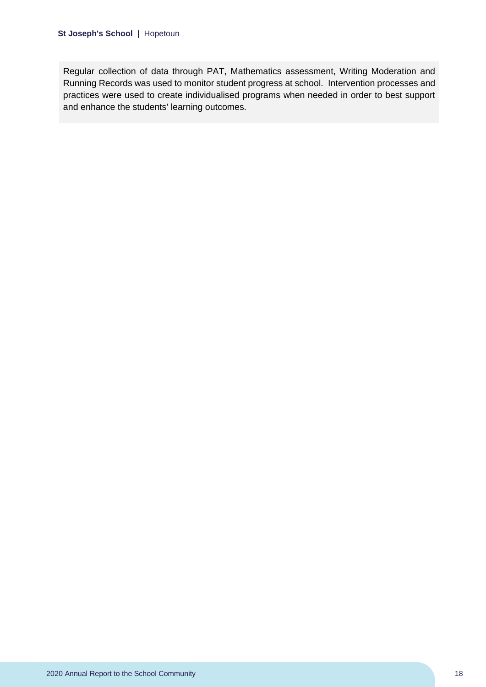Regular collection of data through PAT, Mathematics assessment, Writing Moderation and Running Records was used to monitor student progress at school. Intervention processes and practices were used to create individualised programs when needed in order to best support and enhance the students' learning outcomes.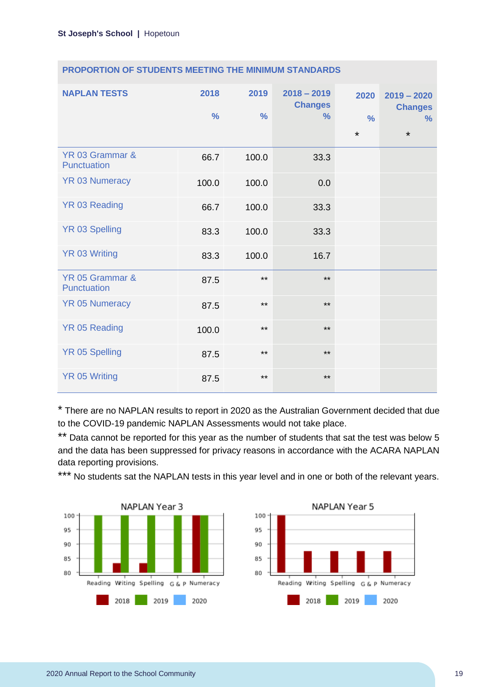| <b>NAPLAN TESTS</b>            | 2018<br>$\frac{0}{0}$ | 2019<br>$\frac{9}{6}$ | $2018 - 2019$<br><b>Changes</b><br>$\%$ | 2020<br>$\frac{0}{0}$<br>$\star$ | $2019 - 2020$<br><b>Changes</b><br>$\frac{9}{6}$<br>$\star$ |
|--------------------------------|-----------------------|-----------------------|-----------------------------------------|----------------------------------|-------------------------------------------------------------|
| YR 03 Grammar &<br>Punctuation | 66.7                  | 100.0                 | 33.3                                    |                                  |                                                             |
| <b>YR 03 Numeracy</b>          | 100.0                 | 100.0                 | 0.0                                     |                                  |                                                             |
| YR 03 Reading                  | 66.7                  | 100.0                 | 33.3                                    |                                  |                                                             |
| <b>YR 03 Spelling</b>          | 83.3                  | 100.0                 | 33.3                                    |                                  |                                                             |
| <b>YR 03 Writing</b>           | 83.3                  | 100.0                 | 16.7                                    |                                  |                                                             |
| YR 05 Grammar &<br>Punctuation | 87.5                  | $***$                 | $***$                                   |                                  |                                                             |
| <b>YR 05 Numeracy</b>          | 87.5                  | $***$                 | $***$                                   |                                  |                                                             |
| <b>YR 05 Reading</b>           | 100.0                 | $***$                 | $***$                                   |                                  |                                                             |
| <b>YR 05 Spelling</b>          | 87.5                  | $***$                 | $***$                                   |                                  |                                                             |
| <b>YR 05 Writing</b>           | 87.5                  | $***$                 | $***$                                   |                                  |                                                             |

\* There are no NAPLAN results to report in 2020 as the Australian Government decided that due to the COVID-19 pandemic NAPLAN Assessments would not take place.

\*\* Data cannot be reported for this year as the number of students that sat the test was below 5 and the data has been suppressed for privacy reasons in accordance with the ACARA NAPLAN data reporting provisions.

\*\*\* No students sat the NAPLAN tests in this year level and in one or both of the relevant years.



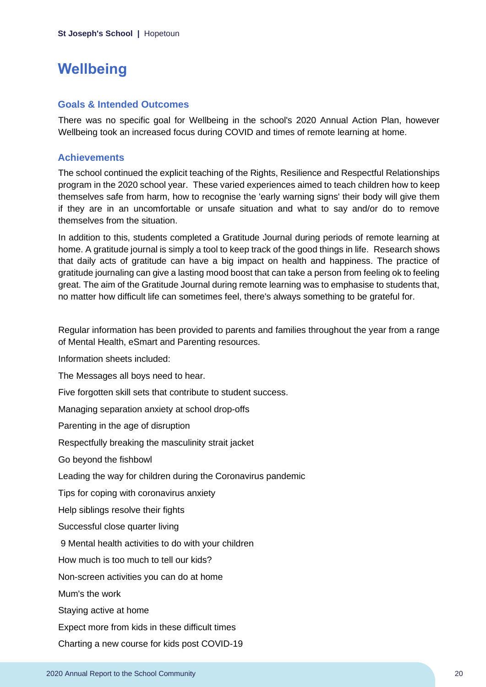# <span id="page-20-0"></span>**Wellbeing**

### **Goals & Intended Outcomes**

There was no specific goal for Wellbeing in the school's 2020 Annual Action Plan, however Wellbeing took an increased focus during COVID and times of remote learning at home.

### **Achievements**

The school continued the explicit teaching of the Rights, Resilience and Respectful Relationships program in the 2020 school year. These varied experiences aimed to teach children how to keep themselves safe from harm, how to recognise the 'early warning signs' their body will give them if they are in an uncomfortable or unsafe situation and what to say and/or do to remove themselves from the situation.

In addition to this, students completed a Gratitude Journal during periods of remote learning at home. A gratitude journal is simply a tool to keep track of the good things in life. Research shows that daily acts of gratitude can have a big impact on health and happiness. The practice of gratitude journaling can give a lasting mood boost that can take a person from feeling ok to feeling great. The aim of the Gratitude Journal during remote learning was to emphasise to students that, no matter how difficult life can sometimes feel, there's always something to be grateful for.

Regular information has been provided to parents and families throughout the year from a range of Mental Health, eSmart and Parenting resources.

Information sheets included:

The Messages all boys need to hear.

Five forgotten skill sets that contribute to student success.

Managing separation anxiety at school drop-offs

Parenting in the age of disruption

Respectfully breaking the masculinity strait jacket

Go beyond the fishbowl

Leading the way for children during the Coronavirus pandemic

Tips for coping with coronavirus anxiety

Help siblings resolve their fights

Successful close quarter living

9 Mental health activities to do with your children

How much is too much to tell our kids?

Non-screen activities you can do at home

Mum's the work

Staying active at home

Expect more from kids in these difficult times

Charting a new course for kids post COVID-19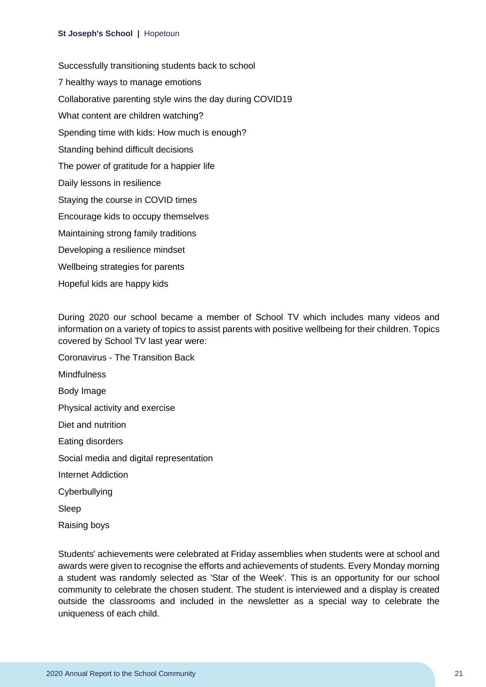#### **St Joseph's School |** Hopetoun

Successfully transitioning students back to school 7 healthy ways to manage emotions Collaborative parenting style wins the day during COVID19 What content are children watching? Spending time with kids: How much is enough? Standing behind difficult decisions The power of gratitude for a happier life Daily lessons in resilience Staying the course in COVID times Encourage kids to occupy themselves Maintaining strong family traditions Developing a resilience mindset Wellbeing strategies for parents Hopeful kids are happy kids

During 2020 our school became a member of School TV which includes many videos and information on a variety of topics to assist parents with positive wellbeing for their children. Topics covered by School TV last year were:

Coronavirus - The Transition Back **Mindfulness** Body Image Physical activity and exercise Diet and nutrition Eating disorders Social media and digital representation Internet Addiction Cyberbullying Sleep

Raising boys

Students' achievements were celebrated at Friday assemblies when students were at school and awards were given to recognise the efforts and achievements of students. Every Monday morning a student was randomly selected as 'Star of the Week'. This is an opportunity for our school community to celebrate the chosen student. The student is interviewed and a display is created outside the classrooms and included in the newsletter as a special way to celebrate the uniqueness of each child.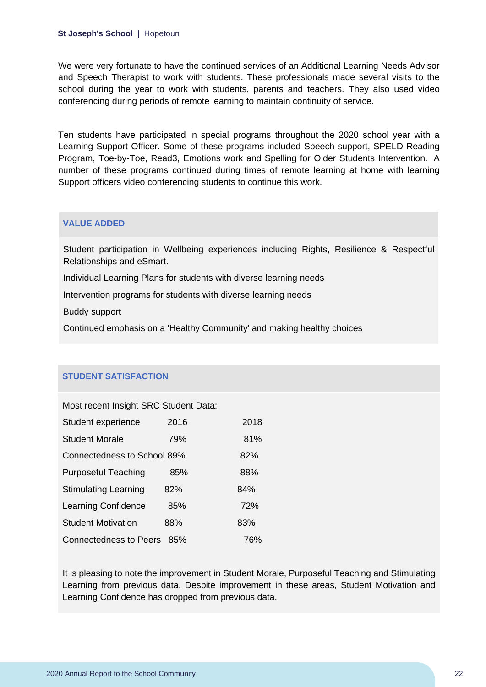We were very fortunate to have the continued services of an Additional Learning Needs Advisor and Speech Therapist to work with students. These professionals made several visits to the school during the year to work with students, parents and teachers. They also used video conferencing during periods of remote learning to maintain continuity of service.

Ten students have participated in special programs throughout the 2020 school year with a Learning Support Officer. Some of these programs included Speech support, SPELD Reading Program, Toe-by-Toe, Read3, Emotions work and Spelling for Older Students Intervention. A number of these programs continued during times of remote learning at home with learning Support officers video conferencing students to continue this work.

#### **VALUE ADDED**

Student participation in Wellbeing experiences including Rights, Resilience & Respectful Relationships and eSmart.

Individual Learning Plans for students with diverse learning needs

Intervention programs for students with diverse learning needs

Buddy support

Continued emphasis on a 'Healthy Community' and making healthy choices

#### **STUDENT SATISFACTION**

Most recent Insight SRC Student Data:

| Student experience            | 2016 | 2018 |
|-------------------------------|------|------|
| <b>Student Morale</b>         | 79%  | 81%  |
| Connectedness to School 89%   |      | 82%  |
| <b>Purposeful Teaching</b>    | 85%  | 88%  |
| <b>Stimulating Learning</b>   | 82%  | 84%  |
| <b>Learning Confidence</b>    | 85%  | 72%  |
| <b>Student Motivation</b>     | 88%  | 83%  |
| <b>Connectedness to Peers</b> | 85%  | 76%  |

It is pleasing to note the improvement in Student Morale, Purposeful Teaching and Stimulating Learning from previous data. Despite improvement in these areas, Student Motivation and Learning Confidence has dropped from previous data.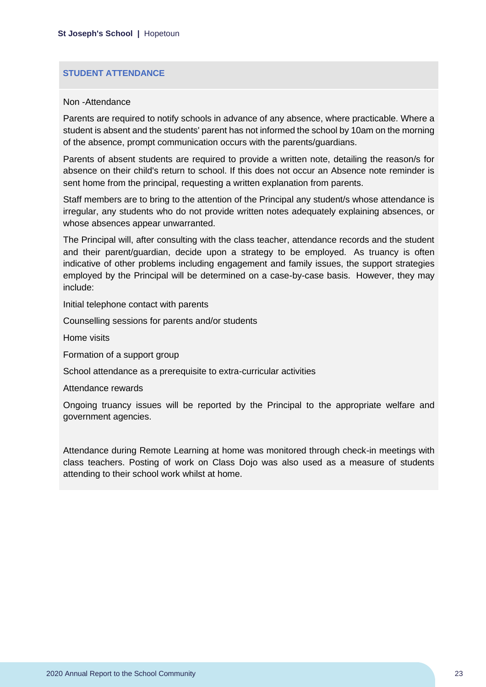#### **STUDENT ATTENDANCE**

#### Non -Attendance

Parents are required to notify schools in advance of any absence, where practicable. Where a student is absent and the students' parent has not informed the school by 10am on the morning of the absence, prompt communication occurs with the parents/guardians.

Parents of absent students are required to provide a written note, detailing the reason/s for absence on their child's return to school. If this does not occur an Absence note reminder is sent home from the principal, requesting a written explanation from parents.

Staff members are to bring to the attention of the Principal any student/s whose attendance is irregular, any students who do not provide written notes adequately explaining absences, or whose absences appear unwarranted.

The Principal will, after consulting with the class teacher, attendance records and the student and their parent/guardian, decide upon a strategy to be employed. As truancy is often indicative of other problems including engagement and family issues, the support strategies employed by the Principal will be determined on a case-by-case basis. However, they may include:

Initial telephone contact with parents

Counselling sessions for parents and/or students

Home visits

Formation of a support group

School attendance as a prerequisite to extra-curricular activities

Attendance rewards

Ongoing truancy issues will be reported by the Principal to the appropriate welfare and government agencies.

Attendance during Remote Learning at home was monitored through check-in meetings with class teachers. Posting of work on Class Dojo was also used as a measure of students attending to their school work whilst at home.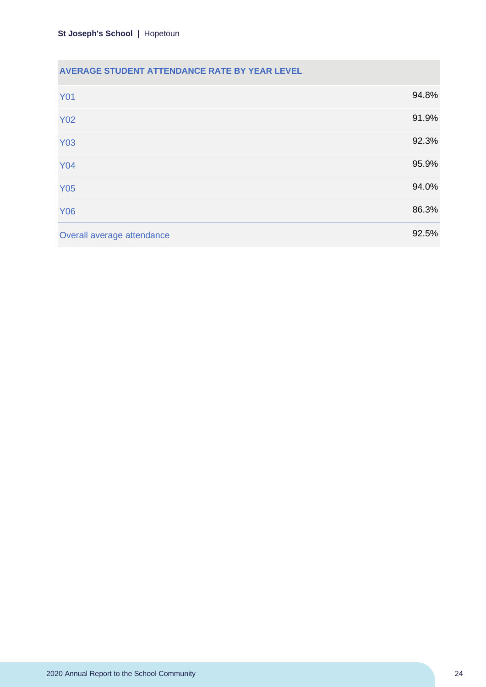### **AVERAGE STUDENT ATTENDANCE RATE BY YEAR LEVEL**

| <b>Y01</b>                 | 94.8% |
|----------------------------|-------|
| <b>Y02</b>                 | 91.9% |
| <b>Y03</b>                 | 92.3% |
| <b>Y04</b>                 | 95.9% |
| <b>Y05</b>                 | 94.0% |
| <b>Y06</b>                 | 86.3% |
| Overall average attendance | 92.5% |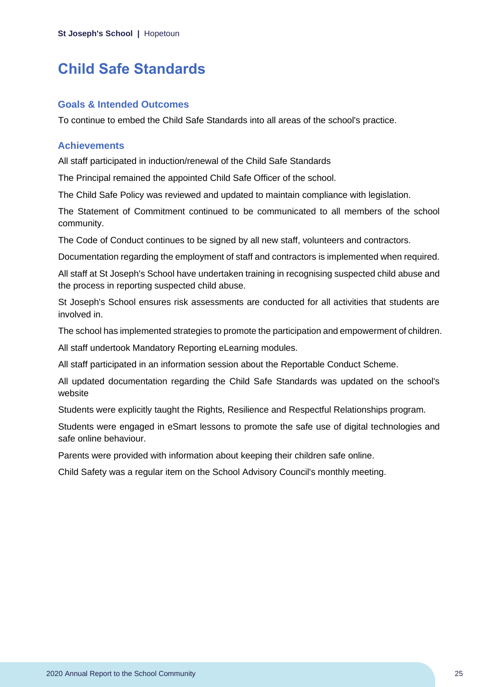### <span id="page-25-0"></span>**Child Safe Standards**

#### **Goals & Intended Outcomes**

To continue to embed the Child Safe Standards into all areas of the school's practice.

#### **Achievements**

All staff participated in induction/renewal of the Child Safe Standards

The Principal remained the appointed Child Safe Officer of the school.

The Child Safe Policy was reviewed and updated to maintain compliance with legislation.

The Statement of Commitment continued to be communicated to all members of the school community.

The Code of Conduct continues to be signed by all new staff, volunteers and contractors.

Documentation regarding the employment of staff and contractors is implemented when required.

All staff at St Joseph's School have undertaken training in recognising suspected child abuse and the process in reporting suspected child abuse.

St Joseph's School ensures risk assessments are conducted for all activities that students are involved in.

The school has implemented strategies to promote the participation and empowerment of children.

All staff undertook Mandatory Reporting eLearning modules.

All staff participated in an information session about the Reportable Conduct Scheme.

All updated documentation regarding the Child Safe Standards was updated on the school's website

Students were explicitly taught the Rights, Resilience and Respectful Relationships program.

Students were engaged in eSmart lessons to promote the safe use of digital technologies and safe online behaviour.

Parents were provided with information about keeping their children safe online.

Child Safety was a regular item on the School Advisory Council's monthly meeting.